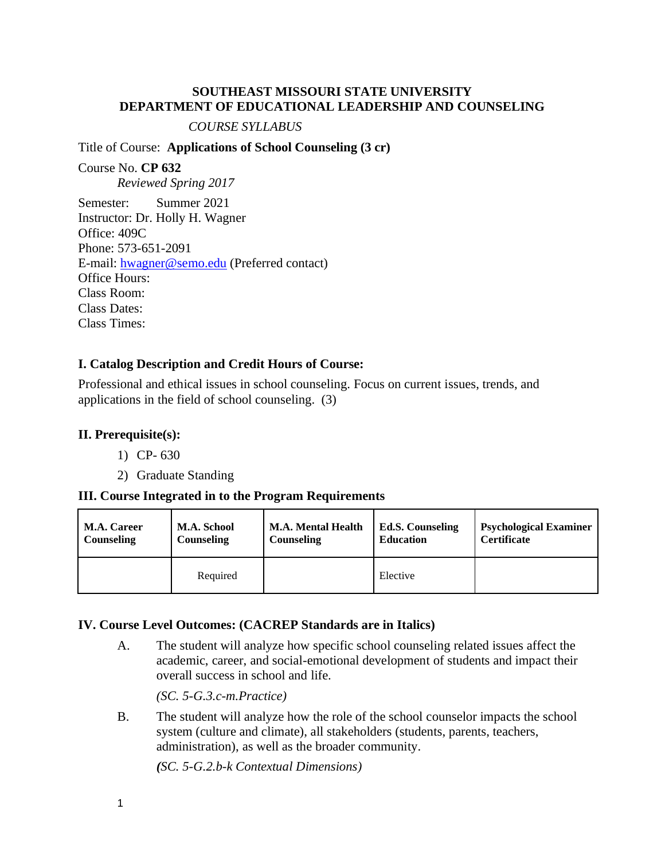### **SOUTHEAST MISSOURI STATE UNIVERSITY DEPARTMENT OF EDUCATIONAL LEADERSHIP AND COUNSELING**

*COURSE SYLLABUS*

Title of Course: **Applications of School Counseling (3 cr)** 

Course No. **CP 632** *Reviewed Spring 2017* Semester: Summer 2021 Instructor: Dr. Holly H. Wagner Office: 409C Phone: 573-651-2091 E-mail: [hwagner@semo.edu](mailto:hwagner@semo.edu) (Preferred contact) Office Hours: Class Room: Class Dates: Class Times:

# **I. Catalog Description and Credit Hours of Course:**

Professional and ethical issues in school counseling. Focus on current issues, trends, and applications in the field of school counseling. (3)

# **II. Prerequisite(s):**

- 1) CP- 630
- 2) Graduate Standing

### **III. Course Integrated in to the Program Requirements**

| <b>M.A. Career</b> | <b>M.A. School</b> | <b>M.A. Mental Health</b> | <b>Ed.S. Counseling</b> | <b>Psychological Examiner</b> |
|--------------------|--------------------|---------------------------|-------------------------|-------------------------------|
| Counseling         | <b>Counseling</b>  | Counseling                | <b>Education</b>        | <b>Certificate</b>            |
|                    | Required           |                           | Elective                |                               |

# **IV. Course Level Outcomes: (CACREP Standards are in Italics)**

A. The student will analyze how specific school counseling related issues affect the academic, career, and social-emotional development of students and impact their overall success in school and life.

*(SC. 5-G.3.c-m.Practice)*

B. The student will analyze how the role of the school counselor impacts the school system (culture and climate), all stakeholders (students, parents, teachers, administration), as well as the broader community.

*(SC. 5-G.2.b-k Contextual Dimensions)*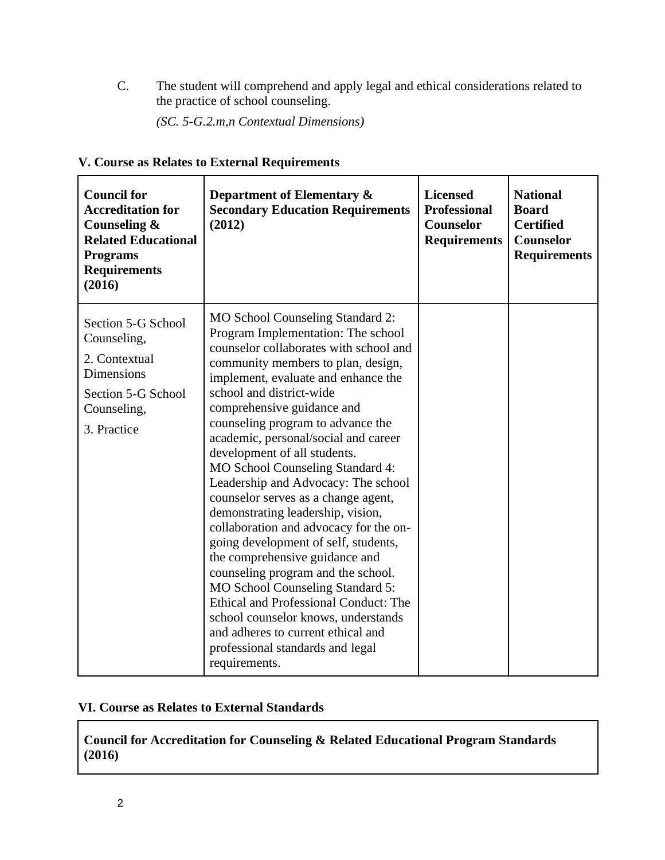C. The student will comprehend and apply legal and ethical considerations related to the practice of school counseling.

*(SC. 5-G.2.m,n Contextual Dimensions)*

|  |  | V. Course as Relates to External Requirements |  |  |
|--|--|-----------------------------------------------|--|--|
|  |  |                                               |  |  |

| <b>Council for</b><br><b>Accreditation for</b><br>Counseling &<br><b>Related Educational</b><br><b>Programs</b><br><b>Requirements</b><br>(2016) | Department of Elementary &<br><b>Secondary Education Requirements</b><br>(2012)                                                                                                                                                                                                                                                                                                                                                                                                                                                                                                                                                                                                                                                                                                                                                                                                                      | <b>Licensed</b><br><b>Professional</b><br><b>Counselor</b><br><b>Requirements</b> | <b>National</b><br><b>Board</b><br><b>Certified</b><br>Counselor<br><b>Requirements</b> |
|--------------------------------------------------------------------------------------------------------------------------------------------------|------------------------------------------------------------------------------------------------------------------------------------------------------------------------------------------------------------------------------------------------------------------------------------------------------------------------------------------------------------------------------------------------------------------------------------------------------------------------------------------------------------------------------------------------------------------------------------------------------------------------------------------------------------------------------------------------------------------------------------------------------------------------------------------------------------------------------------------------------------------------------------------------------|-----------------------------------------------------------------------------------|-----------------------------------------------------------------------------------------|
| Section 5-G School<br>Counseling,<br>2. Contextual<br><b>Dimensions</b><br>Section 5-G School<br>Counseling,<br>3. Practice                      | MO School Counseling Standard 2:<br>Program Implementation: The school<br>counselor collaborates with school and<br>community members to plan, design,<br>implement, evaluate and enhance the<br>school and district-wide<br>comprehensive guidance and<br>counseling program to advance the<br>academic, personal/social and career<br>development of all students.<br>MO School Counseling Standard 4:<br>Leadership and Advocacy: The school<br>counselor serves as a change agent,<br>demonstrating leadership, vision,<br>collaboration and advocacy for the on-<br>going development of self, students,<br>the comprehensive guidance and<br>counseling program and the school.<br>MO School Counseling Standard 5:<br>Ethical and Professional Conduct: The<br>school counselor knows, understands<br>and adheres to current ethical and<br>professional standards and legal<br>requirements. |                                                                                   |                                                                                         |

# **VI. Course as Relates to External Standards**

**Council for Accreditation for Counseling & Related Educational Program Standards (2016)**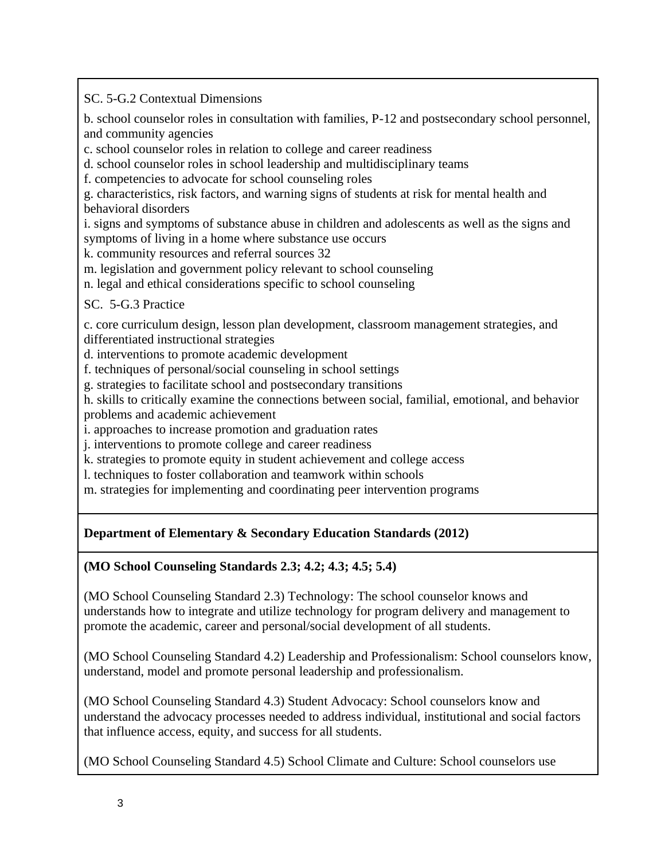SC. 5-G.2 Contextual Dimensions

b. school counselor roles in consultation with families, P-12 and postsecondary school personnel, and community agencies

c. school counselor roles in relation to college and career readiness

d. school counselor roles in school leadership and multidisciplinary teams

f. competencies to advocate for school counseling roles

g. characteristics, risk factors, and warning signs of students at risk for mental health and behavioral disorders

i. signs and symptoms of substance abuse in children and adolescents as well as the signs and symptoms of living in a home where substance use occurs

k. community resources and referral sources 32

m. legislation and government policy relevant to school counseling

n. legal and ethical considerations specific to school counseling

# SC. 5-G.3 Practice

c. core curriculum design, lesson plan development, classroom management strategies, and differentiated instructional strategies

d. interventions to promote academic development

f. techniques of personal/social counseling in school settings

g. strategies to facilitate school and postsecondary transitions

h. skills to critically examine the connections between social, familial, emotional, and behavior problems and academic achievement

i. approaches to increase promotion and graduation rates

j. interventions to promote college and career readiness

k. strategies to promote equity in student achievement and college access

l. techniques to foster collaboration and teamwork within schools

m. strategies for implementing and coordinating peer intervention programs

# **Department of Elementary & Secondary Education Standards (2012)**

# **(MO School Counseling Standards 2.3; 4.2; 4.3; 4.5; 5.4)**

(MO School Counseling Standard 2.3) Technology: The school counselor knows and understands how to integrate and utilize technology for program delivery and management to promote the academic, career and personal/social development of all students.

(MO School Counseling Standard 4.2) Leadership and Professionalism: School counselors know, understand, model and promote personal leadership and professionalism.

(MO School Counseling Standard 4.3) Student Advocacy: School counselors know and understand the advocacy processes needed to address individual, institutional and social factors that influence access, equity, and success for all students.

(MO School Counseling Standard 4.5) School Climate and Culture: School counselors use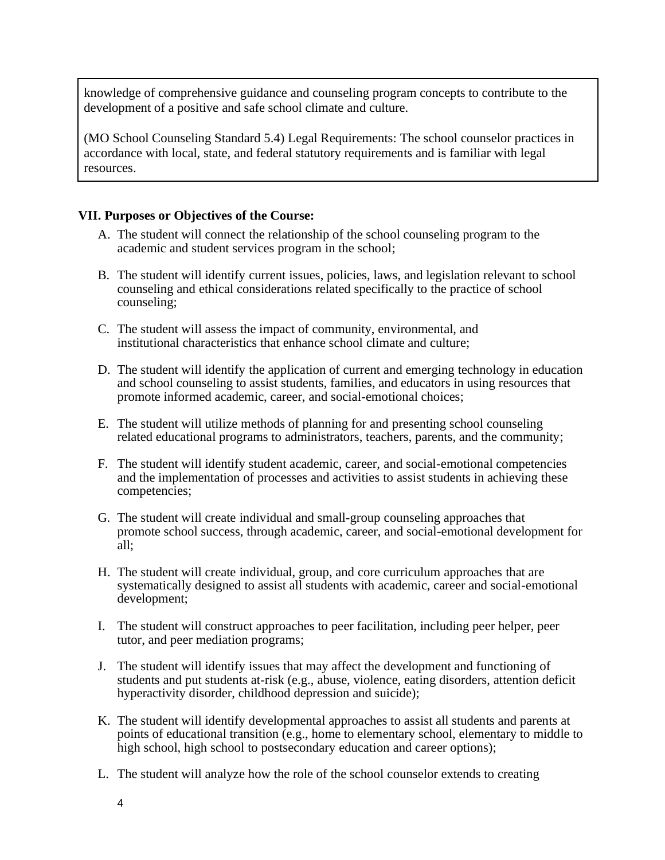knowledge of comprehensive guidance and counseling program concepts to contribute to the development of a positive and safe school climate and culture.

(MO School Counseling Standard 5.4) Legal Requirements: The school counselor practices in accordance with local, state, and federal statutory requirements and is familiar with legal resources.

# **VII. Purposes or Objectives of the Course:**

- A. The student will connect the relationship of the school counseling program to the academic and student services program in the school;
- B. The student will identify current issues, policies, laws, and legislation relevant to school counseling and ethical considerations related specifically to the practice of school counseling;
- C. The student will assess the impact of community, environmental, and institutional characteristics that enhance school climate and culture;
- D. The student will identify the application of current and emerging technology in education and school counseling to assist students, families, and educators in using resources that promote informed academic, career, and social-emotional choices;
- E. The student will utilize methods of planning for and presenting school counseling related educational programs to administrators, teachers, parents, and the community;
- F. The student will identify student academic, career, and social-emotional competencies and the implementation of processes and activities to assist students in achieving these competencies;
- G. The student will create individual and small-group counseling approaches that promote school success, through academic, career, and social-emotional development for all;
- H. The student will create individual, group, and core curriculum approaches that are systematically designed to assist all students with academic, career and social-emotional development;
- I. The student will construct approaches to peer facilitation, including peer helper, peer tutor, and peer mediation programs;
- J. The student will identify issues that may affect the development and functioning of students and put students at-risk (e.g., abuse, violence, eating disorders, attention deficit hyperactivity disorder, childhood depression and suicide);
- K. The student will identify developmental approaches to assist all students and parents at points of educational transition (e.g., home to elementary school, elementary to middle to high school, high school to postsecondary education and career options);
- L. The student will analyze how the role of the school counselor extends to creating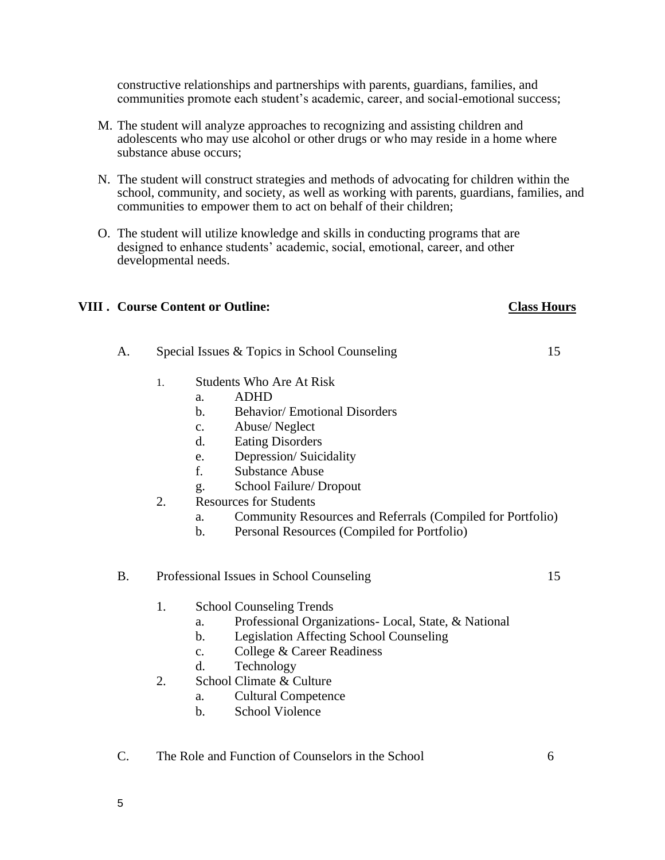constructive relationships and partnerships with parents, guardians, families, and communities promote each student's academic, career, and social-emotional success;

- M. The student will analyze approaches to recognizing and assisting children and adolescents who may use alcohol or other drugs or who may reside in a home where substance abuse occurs;
- N. The student will construct strategies and methods of advocating for children within the school, community, and society, as well as working with parents, guardians, families, and communities to empower them to act on behalf of their children;
- O. The student will utilize knowledge and skills in conducting programs that are designed to enhance students' academic, social, emotional, career, and other developmental needs.

### **VIII . Course Content or Outline: Class Hours**

- A. Special Issues & Topics in School Counseling 15
	- 1. Students Who Are At Risk
		- a. ADHD
		- b. Behavior/ Emotional Disorders
		- c. Abuse/ Neglect
		- d. Eating Disorders
		- e. Depression/ Suicidality
		- f. Substance Abuse
		- g. School Failure/ Dropout
	- 2. Resources for Students
		- a. Community Resources and Referrals (Compiled for Portfolio)
		- b. Personal Resources (Compiled for Portfolio)

### B. Professional Issues in School Counseling 15

- 1. School Counseling Trends
	- a. Professional Organizations- Local, State, & National
	- b. Legislation Affecting School Counseling
	- c. College & Career Readiness
	- d. Technology
- 2. School Climate & Culture
	- a. Cultural Competence
	- b. School Violence
- C. The Role and Function of Counselors in the School 6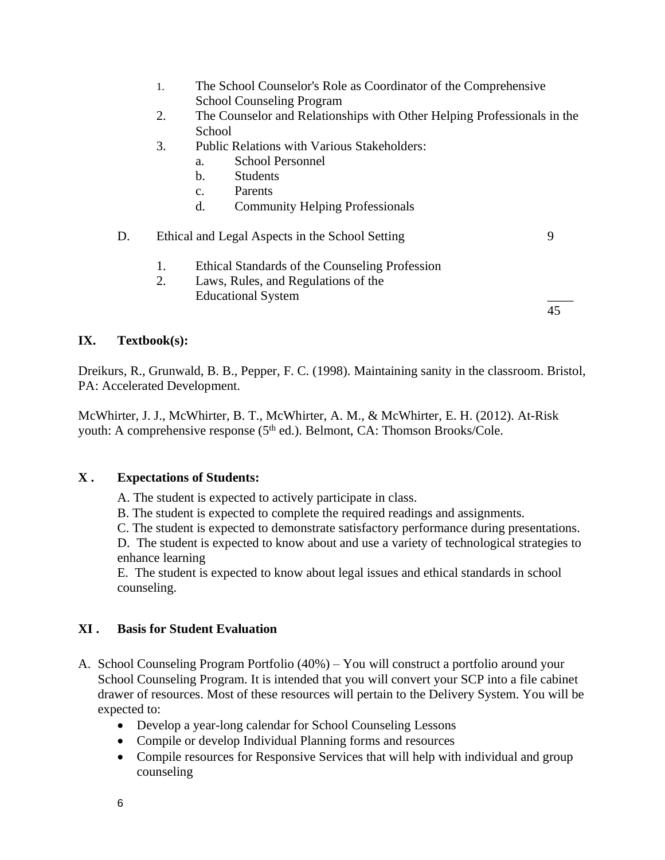- 1. The School Counselor's Role as Coordinator of the Comprehensive School Counseling Program
- 2. The Counselor and Relationships with Other Helping Professionals in the **School**
- 3. Public Relations with Various Stakeholders:
	- a. School Personnel
	- b. Students
	- c. Parents
	- d. Community Helping Professionals

# D. Ethical and Legal Aspects in the School Setting 9

- 1. Ethical Standards of the Counseling Profession
- 2. Laws, Rules, and Regulations of the Educational System \_\_\_\_

45

# **IX. Textbook(s):**

Dreikurs, R., Grunwald, B. B., Pepper, F. C. (1998). Maintaining sanity in the classroom. Bristol, PA: Accelerated Development.

McWhirter, J. J., McWhirter, B. T., McWhirter, A. M., & McWhirter, E. H. (2012). At-Risk youth: A comprehensive response (5<sup>th</sup> ed.). Belmont, CA: Thomson Brooks/Cole.

# **X . Expectations of Students:**

A. The student is expected to actively participate in class.

B. The student is expected to complete the required readings and assignments.

C. The student is expected to demonstrate satisfactory performance during presentations.

D. The student is expected to know about and use a variety of technological strategies to enhance learning

E. The student is expected to know about legal issues and ethical standards in school counseling.

# **XI . Basis for Student Evaluation**

- A. School Counseling Program Portfolio (40%) You will construct a portfolio around your School Counseling Program. It is intended that you will convert your SCP into a file cabinet drawer of resources. Most of these resources will pertain to the Delivery System. You will be expected to:
	- Develop a year-long calendar for School Counseling Lessons
	- Compile or develop Individual Planning forms and resources
	- Compile resources for Responsive Services that will help with individual and group counseling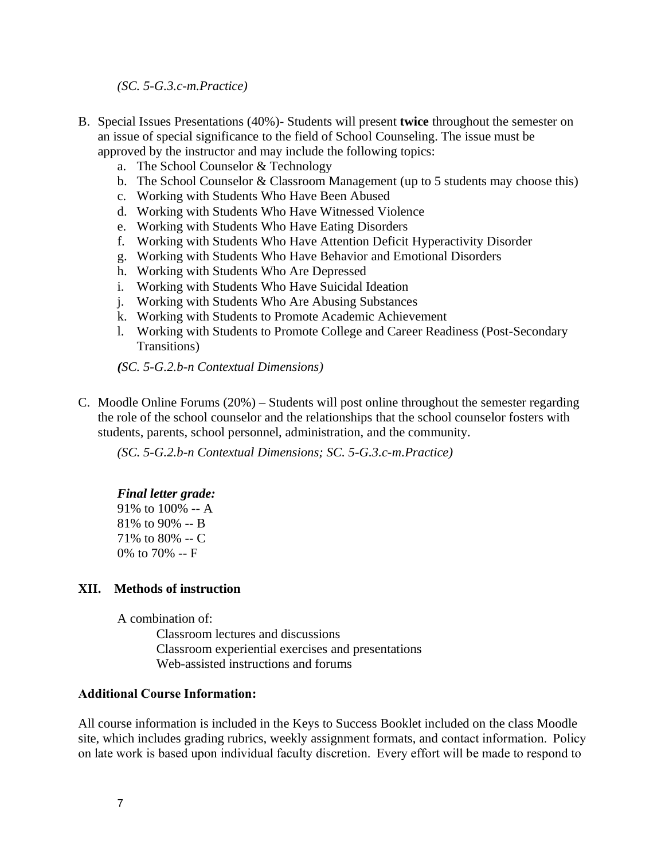*(SC. 5-G.3.c-m.Practice)*

- B. Special Issues Presentations (40%)- Students will present **twice** throughout the semester on an issue of special significance to the field of School Counseling. The issue must be approved by the instructor and may include the following topics:
	- a. The School Counselor & Technology
	- b. The School Counselor & Classroom Management (up to 5 students may choose this)
	- c. Working with Students Who Have Been Abused
	- d. Working with Students Who Have Witnessed Violence
	- e. Working with Students Who Have Eating Disorders
	- f. Working with Students Who Have Attention Deficit Hyperactivity Disorder
	- g. Working with Students Who Have Behavior and Emotional Disorders
	- h. Working with Students Who Are Depressed
	- i. Working with Students Who Have Suicidal Ideation
	- j. Working with Students Who Are Abusing Substances
	- k. Working with Students to Promote Academic Achievement
	- l. Working with Students to Promote College and Career Readiness (Post-Secondary Transitions)

*(SC. 5-G.2.b-n Contextual Dimensions)*

C. Moodle Online Forums (20%) – Students will post online throughout the semester regarding the role of the school counselor and the relationships that the school counselor fosters with students, parents, school personnel, administration, and the community.

*(SC. 5-G.2.b-n Contextual Dimensions; SC. 5-G.3.c-m.Practice)*

### *Final letter grade:*

91% to 100% -- A 81% to 90% -- B 71% to 80% -- C 0% to 70% -- F

### **XII. Methods of instruction**

A combination of:

Classroom lectures and discussions Classroom experiential exercises and presentations Web-assisted instructions and forums

### **Additional Course Information:**

All course information is included in the Keys to Success Booklet included on the class Moodle site, which includes grading rubrics, weekly assignment formats, and contact information.  Policy on late work is based upon individual faculty discretion.  Every effort will be made to respond to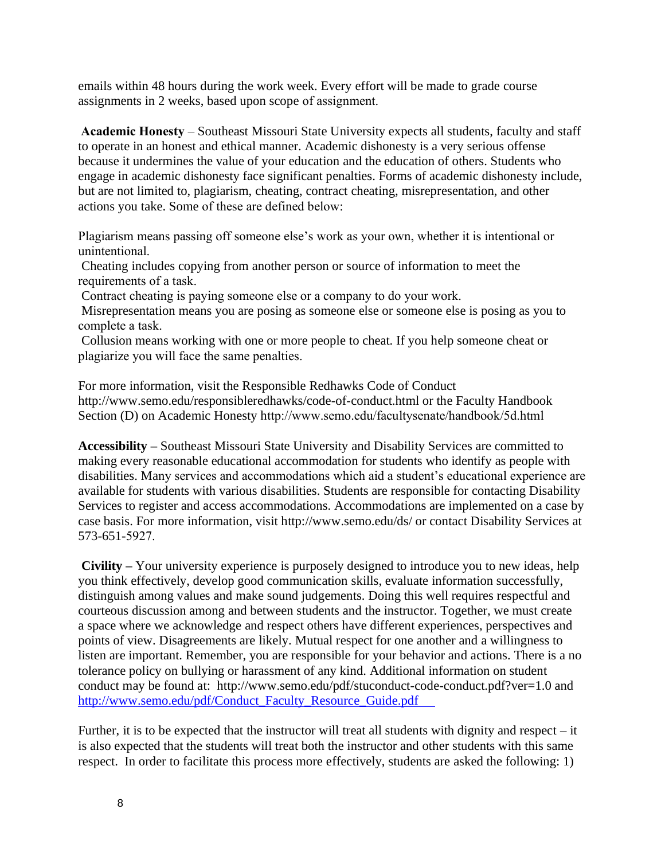emails within 48 hours during the work week. Every effort will be made to grade course assignments in 2 weeks, based upon scope of assignment. 

**Academic Honesty** – Southeast Missouri State University expects all students, faculty and staff to operate in an honest and ethical manner. Academic dishonesty is a very serious offense because it undermines the value of your education and the education of others. Students who engage in academic dishonesty face significant penalties. Forms of academic dishonesty include, but are not limited to, plagiarism, cheating, contract cheating, misrepresentation, and other actions you take. Some of these are defined below: 

Plagiarism means passing off someone else's work as your own, whether it is intentional or unintentional. 

Cheating includes copying from another person or source of information to meet the requirements of a task.  

Contract cheating is paying someone else or a company to do your work.  

Misrepresentation means you are posing as someone else or someone else is posing as you to complete a task.  

Collusion means working with one or more people to cheat. If you help someone cheat or plagiarize you will face the same penalties. 

For more information, visit the Responsible Redhawks Code of Conduct http://www.semo.edu/responsibleredhawks/code-of-conduct.html or the Faculty Handbook Section (D) on Academic Honesty http://www.semo.edu/facultysenate/handbook/5d.html 

**Accessibility –** Southeast Missouri State University and Disability Services are committed to making every reasonable educational accommodation for students who identify as people with disabilities. Many services and accommodations which aid a student's educational experience are available for students with various disabilities. Students are responsible for contacting Disability Services to register and access accommodations. Accommodations are implemented on a case by case basis. For more information, visit http://www.semo.edu/ds/ or contact Disability Services at 573-651-5927. 

**Civility –** Your university experience is purposely designed to introduce you to new ideas, help you think effectively, develop good communication skills, evaluate information successfully, distinguish among values and make sound judgements. Doing this well requires respectful and courteous discussion among and between students and the instructor. Together, we must create a space where we acknowledge and respect others have different experiences, perspectives and points of view. Disagreements are likely. Mutual respect for one another and a willingness to listen are important. Remember, you are responsible for your behavior and actions. There is a no tolerance policy on bullying or harassment of any kind. Additional information on student conduct may be found at: http://www.semo.edu/pdf/stuconduct-code-conduct.pdf?ver=1.0 and [http://www.semo.edu/pdf/Conduct\\_Faculty\\_Resource\\_Guide.pdf](http://www.semo.edu/pdf/Conduct_Faculty_Resource_Guide.pdf     ) 

Further, it is to be expected that the instructor will treat all students with dignity and respect – it is also expected that the students will treat both the instructor and other students with this same respect. In order to facilitate this process more effectively, students are asked the following: 1)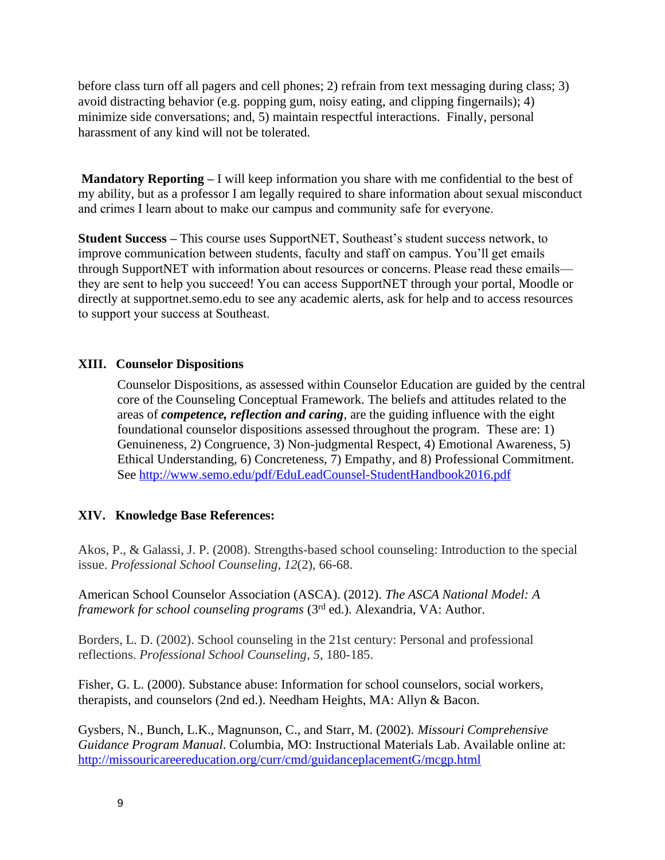before class turn off all pagers and cell phones; 2) refrain from text messaging during class; 3) avoid distracting behavior (e.g. popping gum, noisy eating, and clipping fingernails); 4) minimize side conversations; and, 5) maintain respectful interactions. Finally, personal harassment of any kind will not be tolerated.

**Mandatory Reporting –** I will keep information you share with me confidential to the best of my ability, but as a professor I am legally required to share information about sexual misconduct and crimes I learn about to make our campus and community safe for everyone.  

**Student Success –** This course uses SupportNET, Southeast's student success network, to improve communication between students, faculty and staff on campus. You'll get emails through SupportNET with information about resources or concerns. Please read these emails they are sent to help you succeed! You can access SupportNET through your portal, Moodle or directly at supportnet.semo.edu to see any academic alerts, ask for help and to access resources to support your success at Southeast. 

# **XIII. Counselor Dispositions**

Counselor Dispositions, as assessed within Counselor Education are guided by the central core of the Counseling Conceptual Framework. The beliefs and attitudes related to the areas of *competence, reflection and caring*, are the guiding influence with the eight foundational counselor dispositions assessed throughout the program. These are: 1) Genuineness, 2) Congruence, 3) Non-judgmental Respect, 4) Emotional Awareness, 5) Ethical Understanding, 6) Concreteness, 7) Empathy, and 8) Professional Commitment. See<http://www.semo.edu/pdf/EduLeadCounsel-StudentHandbook2016.pdf>

# **XIV. Knowledge Base References:**

Akos, P., & Galassi, J. P. (2008). Strengths-based school counseling: Introduction to the special issue. *Professional School Counseling*, *12*(2), 66-68.

American School Counselor Association (ASCA). (2012). *The ASCA National Model: A framework for school counseling programs* (3<sup>rd</sup> ed.). Alexandria, VA: Author.

Borders, L. D. (2002). School counseling in the 21st century: Personal and professional reflections. *Professional School Counseling*, *5*, 180-185.

Fisher, G. L. (2000). Substance abuse: Information for school counselors, social workers, therapists, and counselors (2nd ed.). Needham Heights, MA: Allyn & Bacon.

Gysbers, N., Bunch, L.K., Magnunson, C., and Starr, M. (2002). *Missouri Comprehensive Guidance Program Manual*. Columbia, MO: Instructional Materials Lab. Available online at: <http://missouricareereducation.org/curr/cmd/guidanceplacementG/mcgp.html>